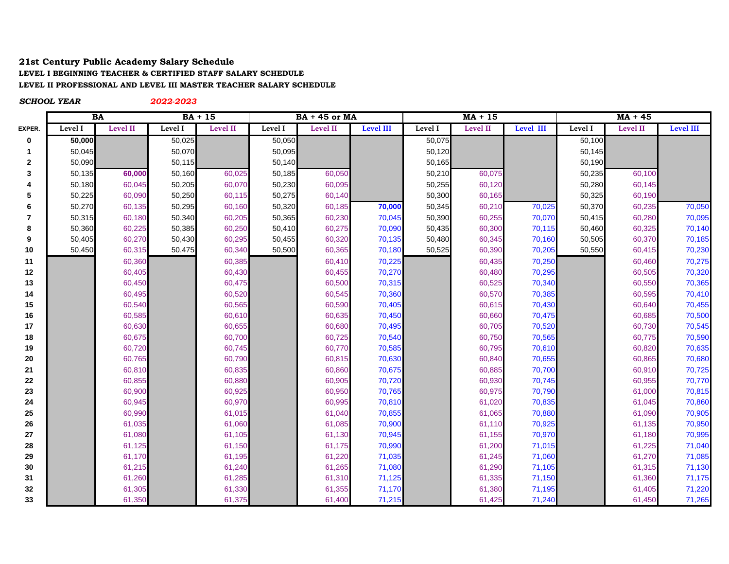## **21st Century Public Academy Salary Schedule LEVEL I BEGINNING TEACHER & CERTIFIED STAFF SALARY SCHEDULE LEVEL II PROFESSIONAL AND LEVEL III MASTER TEACHER SALARY SCHEDULE**

*SCHOOL YEAR 2022-2023* **EXPER. Level I Level II Level I Level II Level I Level II Level III Level I Level II Level III Level I Level II Level III BA BA + 15 BA + 45 or MA MA + 15 MA + 45**

| 0            | 50,000 |        | 50,025 |        | 50,050 |        |        | 50,075 |        |        | 50,100 |        |        |
|--------------|--------|--------|--------|--------|--------|--------|--------|--------|--------|--------|--------|--------|--------|
| 1            | 50,045 |        | 50,070 |        | 50,095 |        |        | 50,120 |        |        | 50,145 |        |        |
| $\mathbf{2}$ | 50,090 |        | 50,115 |        | 50,140 |        |        | 50,165 |        |        | 50,190 |        |        |
| 3            | 50,135 | 60,000 | 50,160 | 60,025 | 50,185 | 60,050 |        | 50,210 | 60,075 |        | 50,235 | 60,100 |        |
| 4            | 50,180 | 60,045 | 50,205 | 60,070 | 50,230 | 60,095 |        | 50,255 | 60,120 |        | 50,280 | 60,145 |        |
| 5            | 50,225 | 60,090 | 50,250 | 60,115 | 50,275 | 60,140 |        | 50,300 | 60,165 |        | 50,325 | 60,190 |        |
| 6            | 50,270 | 60,135 | 50,295 | 60,160 | 50,320 | 60,185 | 70,000 | 50,345 | 60,210 | 70,025 | 50,370 | 60,235 | 70,050 |
| 7            | 50,315 | 60,180 | 50,340 | 60,205 | 50,365 | 60,230 | 70,045 | 50,390 | 60,255 | 70,070 | 50,415 | 60,280 | 70,095 |
| 8            | 50,360 | 60,225 | 50,385 | 60,250 | 50,410 | 60,275 | 70,090 | 50,435 | 60,300 | 70,115 | 50,460 | 60,325 | 70,140 |
| 9            | 50,405 | 60,270 | 50,430 | 60,295 | 50,455 | 60,320 | 70,135 | 50,480 | 60,345 | 70,160 | 50,505 | 60,370 | 70,185 |
| 10           | 50,450 | 60,315 | 50,475 | 60,340 | 50,500 | 60,365 | 70,180 | 50,525 | 60,390 | 70,205 | 50,550 | 60,415 | 70,230 |
| 11           |        | 60,360 |        | 60,385 |        | 60,410 | 70,225 |        | 60,435 | 70,250 |        | 60,460 | 70,275 |
| 12           |        | 60,405 |        | 60,430 |        | 60,455 | 70,270 |        | 60,480 | 70,295 |        | 60,505 | 70,320 |
| 13           |        | 60,450 |        | 60,475 |        | 60,500 | 70,315 |        | 60,525 | 70,340 |        | 60,550 | 70,365 |
| 14           |        | 60,495 |        | 60,520 |        | 60,545 | 70,360 |        | 60,570 | 70,385 |        | 60,595 | 70,410 |
| 15           |        | 60,540 |        | 60,565 |        | 60,590 | 70,405 |        | 60,615 | 70,430 |        | 60,640 | 70,455 |
| 16           |        | 60,585 |        | 60,610 |        | 60,635 | 70,450 |        | 60,660 | 70,475 |        | 60,685 | 70,500 |
| 17           |        | 60,630 |        | 60,655 |        | 60,680 | 70,495 |        | 60,705 | 70,520 |        | 60,730 | 70,545 |
| 18           |        | 60,675 |        | 60,700 |        | 60,725 | 70,540 |        | 60,750 | 70,565 |        | 60,775 | 70,590 |
| 19           |        | 60,720 |        | 60,745 |        | 60,770 | 70,585 |        | 60,795 | 70,610 |        | 60,820 | 70,635 |
| 20           |        | 60,765 |        | 60,790 |        | 60,815 | 70,630 |        | 60,840 | 70,655 |        | 60,865 | 70,680 |
| 21           |        | 60,810 |        | 60,835 |        | 60,860 | 70,675 |        | 60,885 | 70,700 |        | 60,910 | 70,725 |
| 22           |        | 60,855 |        | 60,880 |        | 60,905 | 70,720 |        | 60,930 | 70,745 |        | 60,955 | 70,770 |
| 23           |        | 60,900 |        | 60,925 |        | 60,950 | 70,765 |        | 60,975 | 70,790 |        | 61,000 | 70,815 |
| 24           |        | 60,945 |        | 60,970 |        | 60,995 | 70,810 |        | 61,020 | 70,835 |        | 61,045 | 70,860 |
| 25           |        | 60,990 |        | 61,015 |        | 61,040 | 70,855 |        | 61,065 | 70,880 |        | 61,090 | 70,905 |
| 26           |        | 61,035 |        | 61,060 |        | 61,085 | 70,900 |        | 61,110 | 70,925 |        | 61,135 | 70,950 |
| 27           |        | 61,080 |        | 61,105 |        | 61,130 | 70,945 |        | 61,155 | 70,970 |        | 61,180 | 70,995 |
| 28           |        | 61,125 |        | 61,150 |        | 61,175 | 70,990 |        | 61,200 | 71,015 |        | 61,225 | 71,040 |
| 29           |        | 61,170 |        | 61,195 |        | 61,220 | 71,035 |        | 61,245 | 71,060 |        | 61,270 | 71,085 |
| 30           |        | 61,215 |        | 61,240 |        | 61,265 | 71,080 |        | 61,290 | 71,105 |        | 61,315 | 71,130 |
| 31           |        | 61,260 |        | 61,285 |        | 61,310 | 71,125 |        | 61,335 | 71,150 |        | 61,360 | 71,175 |
| 32           |        | 61,305 |        | 61,330 |        | 61,355 | 71,170 |        | 61,380 | 71,195 |        | 61,405 | 71,220 |
| 33           |        | 61,350 |        | 61,375 |        | 61,400 | 71,215 |        | 61,425 | 71,240 |        | 61,450 | 71,265 |